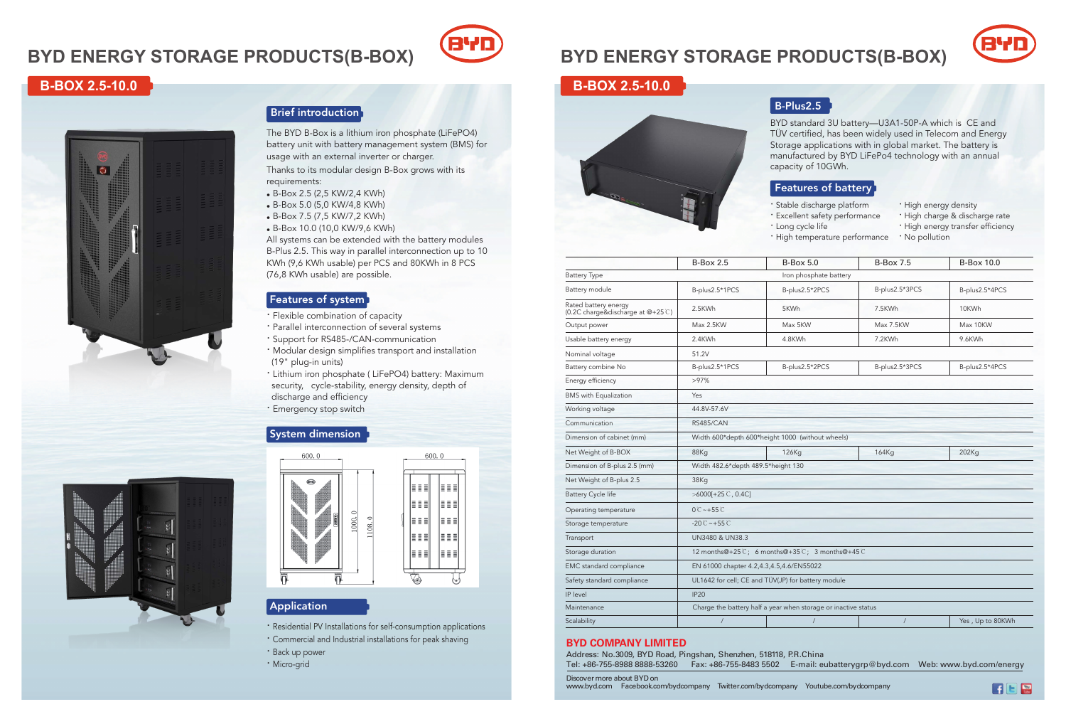# **BYD ENERGY STORAGE PRODUCTS(B-BOX)**

# **B-BOX 2.5-10.0**



BYD standard 3U battery—U3A1-50P-A which is CE and TÜV certified, has been widely used in Telecom and Energy Storage applications with in global market. The battery is manufactured by BYD LiFePo4 technology with an annual capacity of 10GWh.

Address: No.3009, BYD Road, Pingshan, Shenzhen, 518118, P.R.C Tel: +86-755-8988 8888-53260 Fax: +86-755-8483 5502 E-mail: eubatterygrp@byd.com Web: www.byd.com/energy

· Long cycle life

## B-Plus2.5

- · Stable discharge platform
- · Excellent safety performance
	-
- · High energy density
- · High charge & discharge rate
- · High energy transfer efficiency
- · High temperature performance
	- · No pollution

### Features of battery

Discover more about BYD on

www.byd.com Facebook.com/bydcompany Twitter.com/bydcompany Youtube.com/bydcompany

#### **BYD COMPANY LIMITED**

|                                                           | <b>B-Box 2.5</b>                                               | $B-Box 5.0$            | <b>B-Box 7.5</b> | <b>B-Box 10.0</b> |  |  |
|-----------------------------------------------------------|----------------------------------------------------------------|------------------------|------------------|-------------------|--|--|
| <b>Battery Type</b>                                       |                                                                | Iron phosphate battery |                  |                   |  |  |
| Battery module                                            | B-plus2.5*1PCS                                                 | B-plus2.5*2PCS         | B-plus2.5*3PCS   | B-plus2.5*4PCS    |  |  |
| Rated battery energy<br>(0.2C charge&discharge at @+25 C) | 2.5KWh                                                         | 5KWh                   | 7.5KWh           | 10KWh             |  |  |
| Output power                                              | Max 2.5KW                                                      | Max 5KW                | Max 7.5KW        | Max 10KW          |  |  |
| Usable battery energy                                     | 2.4KWh                                                         | 4.8KWh                 | 7.2KWh           | 9.6KWh            |  |  |
| Nominal voltage                                           | 51.2V                                                          |                        |                  |                   |  |  |
| Battery combine No                                        | B-plus2.5*1PCS                                                 | B-plus2.5*2PCS         | B-plus2.5*3PCS   | B-plus2.5*4PCS    |  |  |
| Energy efficiency                                         | $>97\%$                                                        |                        |                  |                   |  |  |
| <b>BMS</b> with Equalization                              | Yes                                                            |                        |                  |                   |  |  |
| Working voltage                                           | 44.8V-57.6V                                                    |                        |                  |                   |  |  |
| Communication                                             | <b>RS485/CAN</b>                                               |                        |                  |                   |  |  |
| Dimension of cabinet (mm)                                 | Width 600*depth 600*height 1000 (without wheels)               |                        |                  |                   |  |  |
| Net Weight of B-BOX                                       | 88Kg                                                           | 126Kg                  | <b>164Kg</b>     | 202Kg             |  |  |
| Dimension of B-plus 2.5 (mm)                              | Width 482.6*depth 489.5*height 130                             |                        |                  |                   |  |  |
| Net Weight of B-plus 2.5                                  | 38Kg                                                           |                        |                  |                   |  |  |
| <b>Battery Cycle life</b>                                 | $>6000[+25^\circ C, 0.4C]$                                     |                        |                  |                   |  |  |
| Operating temperature                                     | $0^\circ$ $\sim$ +55 $\circ$                                   |                        |                  |                   |  |  |
| Storage temperature                                       | $-20C - +55C$                                                  |                        |                  |                   |  |  |
| Transport                                                 | UN3480 & UN38.3                                                |                        |                  |                   |  |  |
| Storage duration                                          | 12 months@+25°C; 6 months@+35°C; 3 months@+45°C                |                        |                  |                   |  |  |
| EMC standard compliance                                   | EN 61000 chapter 4.2,4.3,4.5,4.6/EN55022                       |                        |                  |                   |  |  |
| Safety standard compliance                                | UL1642 for cell; CE and TÜV(JP) for battery module             |                        |                  |                   |  |  |
| IP level                                                  | IP20                                                           |                        |                  |                   |  |  |
| Maintenance                                               | Charge the battery half a year when storage or inactive status |                        |                  |                   |  |  |
| Scalability                                               | $\prime$                                                       | $\overline{1}$         |                  | Yes, Up to 80KV   |  |  |
|                                                           |                                                                |                        |                  |                   |  |  |

| <b>B-Box 2.5</b>                         | <b>B-Box 5.0</b>                                               | <b>B-Box 7.5</b> | <b>B-Box 10.0</b> |  |
|------------------------------------------|----------------------------------------------------------------|------------------|-------------------|--|
|                                          | Iron phosphate battery                                         |                  |                   |  |
| B-plus2.5*1PCS                           | B-plus2.5*2PCS                                                 | B-plus2.5*3PCS   | B-plus2.5*4PCS    |  |
| 2.5KWh                                   | 5KWh                                                           | 7.5KWh           | 10KWh             |  |
| Max 2.5KW                                | Max 5KW                                                        | Max 7.5KW        | Max 10KW          |  |
| 2.4KWh                                   | 4.8KWh                                                         | 7.2KWh           | 9.6KWh            |  |
| 51.2V                                    |                                                                |                  |                   |  |
| B-plus2.5*1PCS                           | B-plus2.5*2PCS                                                 | B-plus2.5*3PCS   | B-plus2.5*4PCS    |  |
| $>97\%$                                  |                                                                |                  |                   |  |
| Yes                                      |                                                                |                  |                   |  |
| 44.8V-57.6V                              |                                                                |                  |                   |  |
| <b>RS485/CAN</b>                         |                                                                |                  |                   |  |
|                                          | Width 600*depth 600*height 1000 (without wheels)               |                  |                   |  |
| 88Kg                                     | 126Kg                                                          | 164Kg            | 202Kg             |  |
| Width 482.6*depth 489.5*height 130       |                                                                |                  |                   |  |
| 38Kg                                     |                                                                |                  |                   |  |
| $>6000[+25^\circ C, 0.4C]$               |                                                                |                  |                   |  |
| 0 C ~ + 55 C                             |                                                                |                  |                   |  |
| $-20C - +55C$                            |                                                                |                  |                   |  |
| UN3480 & UN38.3                          |                                                                |                  |                   |  |
|                                          | 12 months@+25°C; 6 months@+35°C; 3 months@+45°C                |                  |                   |  |
| EN 61000 chapter 4.2,4.3,4.5,4.6/EN55022 |                                                                |                  |                   |  |
|                                          | UL1642 for cell; CE and TÜV(JP) for battery module             |                  |                   |  |
| <b>IP20</b>                              |                                                                |                  |                   |  |
|                                          | Charge the battery half a year when storage or inactive status |                  |                   |  |
| $\prime$                                 | $\overline{1}$                                                 | /                | Yes, Up to 80KWh  |  |



# **BYD ENERGY STORAGE PRODUCTS(B-BOX)**



# **B-BOX 2.5-10.0**



## **Brief introduction**

· Residential PV Installations for self-consumption applications

- · Commercial and Industrial installations for peak shaving
- · Back up power
- · Micro-grid



The BYD B-Box is a lithium iron phosphate (LiFePO4) battery unit with battery management system (BMS) for usage with an external inverter or charger.

### System dimension





## **Application**

Thanks to its modular design B-Box grows with its requirements:

- $\bullet$  B-Box 2.5 (2,5 KW/2,4 KWh)
- $\bullet$  B-Box 5.0 (5,0 KW/4,8 KWh)
- B-Box 7.5 (7,5 KW/7,2 KWh)
- B-Box 10.0 (10,0 KW/9,6 KWh)

All systems can be extended with the battery modules B-Plus 2.5. This way in parallel interconnection up to 10 KWh (9,6 KWh usable) per PCS and 80KWh in 8 PCS (76,8 KWh usable) are possible.

#### **Features of system**

- · Flexible combination of capacity
- · Parallel interconnection of several systems
- · Support for RS485-/CAN-communication

· Modular design simplies transport and installation (19" plug-in units)

· Lithium iron phosphate ( LiFePO4) battery: Maximum security, cycle-stability, energy density, depth of discharge and efficiency · Emergency stop switch